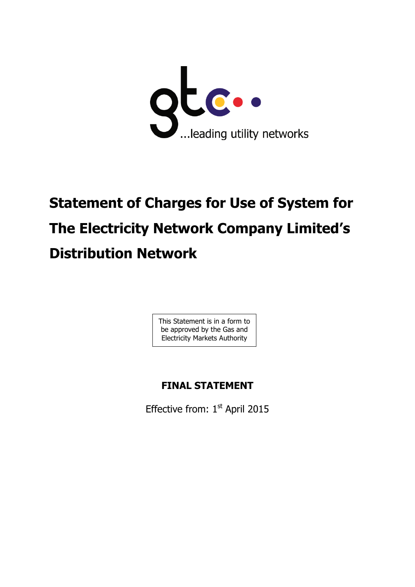

# **Statement of Charges for Use of System for The Electricity Network Company Limited's Distribution Network**

This Statement is in a form to be approved by the Gas and Electricity Markets Authority

# **FINAL STATEMENT**

Effective from:  $1<sup>st</sup>$  April 2015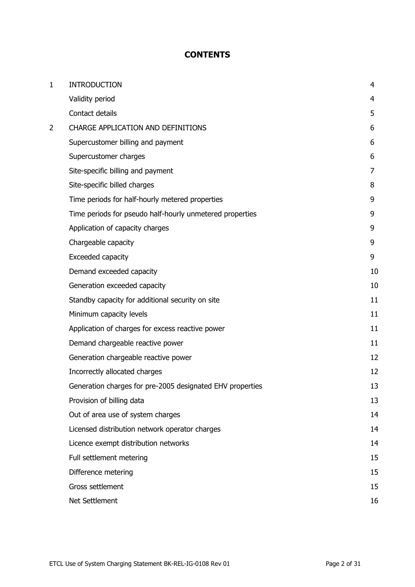# **CONTENTS**

| 1 | <b>INTRODUCTION</b>                                       | 4  |
|---|-----------------------------------------------------------|----|
|   | Validity period                                           | 4  |
|   | Contact details                                           | 5  |
| 2 | <b>CHARGE APPLICATION AND DEFINITIONS</b>                 | 6  |
|   | Supercustomer billing and payment                         | 6  |
|   | Supercustomer charges                                     | 6  |
|   | Site-specific billing and payment                         | 7  |
|   | Site-specific billed charges                              | 8  |
|   | Time periods for half-hourly metered properties           | 9  |
|   | Time periods for pseudo half-hourly unmetered properties  | 9  |
|   | Application of capacity charges                           | 9  |
|   | Chargeable capacity                                       | 9  |
|   | Exceeded capacity                                         | 9  |
|   | Demand exceeded capacity                                  | 10 |
|   | Generation exceeded capacity                              | 10 |
|   | Standby capacity for additional security on site          | 11 |
|   | Minimum capacity levels                                   | 11 |
|   | Application of charges for excess reactive power          | 11 |
|   | Demand chargeable reactive power                          | 11 |
|   | Generation chargeable reactive power                      | 12 |
|   | Incorrectly allocated charges                             | 12 |
|   | Generation charges for pre-2005 designated EHV properties | 13 |
|   | Provision of billing data                                 | 13 |
|   | Out of area use of system charges                         | 14 |
|   | Licensed distribution network operator charges            | 14 |
|   | Licence exempt distribution networks                      | 14 |
|   | Full settlement metering                                  | 15 |
|   | Difference metering                                       | 15 |
|   | Gross settlement                                          | 15 |
|   | Net Settlement                                            | 16 |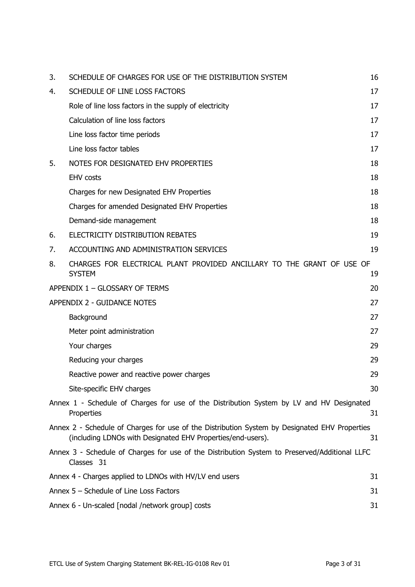| 3. | SCHEDULE OF CHARGES FOR USE OF THE DISTRIBUTION SYSTEM                                                                                                       | 16 |
|----|--------------------------------------------------------------------------------------------------------------------------------------------------------------|----|
| 4. | SCHEDULE OF LINE LOSS FACTORS                                                                                                                                | 17 |
|    | Role of line loss factors in the supply of electricity                                                                                                       | 17 |
|    | Calculation of line loss factors                                                                                                                             | 17 |
|    | Line loss factor time periods                                                                                                                                | 17 |
|    | Line loss factor tables                                                                                                                                      | 17 |
| 5. | NOTES FOR DESIGNATED EHV PROPERTIES                                                                                                                          | 18 |
|    | <b>EHV</b> costs                                                                                                                                             | 18 |
|    | Charges for new Designated EHV Properties                                                                                                                    | 18 |
|    | Charges for amended Designated EHV Properties                                                                                                                | 18 |
|    | Demand-side management                                                                                                                                       | 18 |
| 6. | ELECTRICITY DISTRIBUTION REBATES                                                                                                                             | 19 |
| 7. | ACCOUNTING AND ADMINISTRATION SERVICES                                                                                                                       | 19 |
| 8. | CHARGES FOR ELECTRICAL PLANT PROVIDED ANCILLARY TO THE GRANT OF USE OF<br><b>SYSTEM</b>                                                                      | 19 |
|    | APPENDIX 1 - GLOSSARY OF TERMS                                                                                                                               | 20 |
|    | APPENDIX 2 - GUIDANCE NOTES                                                                                                                                  | 27 |
|    | Background                                                                                                                                                   | 27 |
|    | Meter point administration                                                                                                                                   | 27 |
|    | Your charges                                                                                                                                                 | 29 |
|    | Reducing your charges                                                                                                                                        | 29 |
|    | Reactive power and reactive power charges                                                                                                                    | 29 |
|    | Site-specific EHV charges                                                                                                                                    | 30 |
|    | Annex 1 - Schedule of Charges for use of the Distribution System by LV and HV Designated<br>Properties                                                       | 31 |
|    | Annex 2 - Schedule of Charges for use of the Distribution System by Designated EHV Properties<br>(including LDNOs with Designated EHV Properties/end-users). | 31 |
|    | Annex 3 - Schedule of Charges for use of the Distribution System to Preserved/Additional LLFC<br>Classes 31                                                  |    |
|    | Annex 4 - Charges applied to LDNOs with HV/LV end users                                                                                                      | 31 |
|    | Annex 5 - Schedule of Line Loss Factors                                                                                                                      | 31 |
|    | Annex 6 - Un-scaled [nodal /network group] costs                                                                                                             | 31 |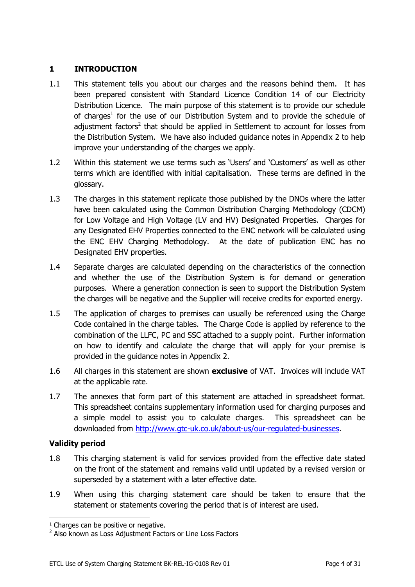# <span id="page-3-0"></span>**1 INTRODUCTION**

- 1.1 This statement tells you about our charges and the reasons behind them. It has been prepared consistent with Standard Licence Condition 14 of our Electricity Distribution Licence. The main purpose of this statement is to provide our schedule of charges<sup>1</sup> for the use of our Distribution System and to provide the schedule of adjustment factors<sup>2</sup> that should be applied in Settlement to account for losses from the Distribution System. We have also included guidance notes in Appendix 2 to help improve your understanding of the charges we apply.
- 1.2 Within this statement we use terms such as 'Users' and 'Customers' as well as other terms which are identified with initial capitalisation. These terms are defined in the glossary.
- 1.3 The charges in this statement replicate those published by the DNOs where the latter have been calculated using the Common Distribution Charging Methodology (CDCM) for Low Voltage and High Voltage (LV and HV) Designated Properties. Charges for any Designated EHV Properties connected to the ENC network will be calculated using the ENC EHV Charging Methodology. At the date of publication ENC has no Designated EHV properties.
- 1.4 Separate charges are calculated depending on the characteristics of the connection and whether the use of the Distribution System is for demand or generation purposes. Where a generation connection is seen to support the Distribution System the charges will be negative and the Supplier will receive credits for exported energy.
- 1.5 The application of charges to premises can usually be referenced using the Charge Code contained in the charge tables. The Charge Code is applied by reference to the combination of the LLFC, PC and SSC attached to a supply point. Further information on how to identify and calculate the charge that will apply for your premise is provided in the guidance notes in Appendix 2.
- 1.6 All charges in this statement are shown **exclusive** of VAT. Invoices will include VAT at the applicable rate.
- 1.7 The annexes that form part of this statement are attached in spreadsheet format. This spreadsheet contains supplementary information used for charging purposes and a simple model to assist you to calculate charges. This spreadsheet can be downloaded from [http://www.gtc-uk.co.uk/about-us/our-regulated-businesses.](http://www.gtc-uk.co.uk/about-us/our-regulated-businesses)

# <span id="page-3-1"></span>**Validity period**

- 1.8 This charging statement is valid for services provided from the effective date stated on the front of the statement and remains valid until updated by a revised version or superseded by a statement with a later effective date.
- 1.9 When using this charging statement care should be taken to ensure that the statement or statements covering the period that is of interest are used.

<sup>&</sup>lt;sup>1</sup> Charges can be positive or negative.

<sup>&</sup>lt;sup>2</sup> Also known as Loss Adjustment Factors or Line Loss Factors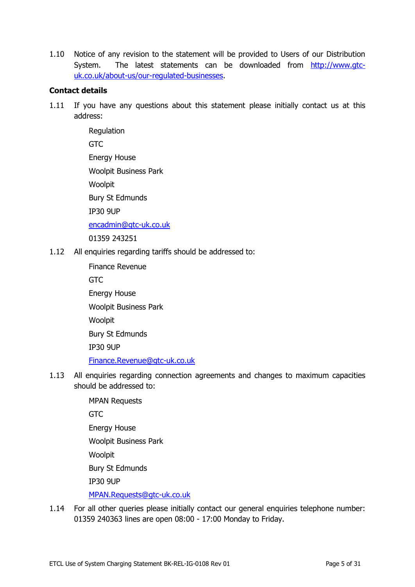1.10 Notice of any revision to the statement will be provided to Users of our Distribution System. The latest statements can be downloaded from [http://www.gtc](http://www.gtc-uk.co.uk/about-us/our-regulated-businesses)[uk.co.uk/about-us/our-regulated-businesses.](http://www.gtc-uk.co.uk/about-us/our-regulated-businesses)

# <span id="page-4-0"></span>**Contact details**

1.11 If you have any questions about this statement please initially contact us at this address:

> **Regulation GTC** Energy House Woolpit Business Park Woolpit Bury St Edmunds IP30 9UP <encadmin@gtc-uk.co.uk>

01359 243251

<span id="page-4-2"></span><span id="page-4-1"></span>1.12 All enquiries regarding tariffs should be addressed to:

Finance Revenue GTC Energy House Woolpit Business Park Woolpit Bury St Edmunds IP30 9UP <Finance.Revenue@gtc-uk.co.uk>

- 1.13 All enquiries regarding connection agreements and changes to maximum capacities should be addressed to:
	- MPAN Requests **GTC** Energy House Woolpit Business Park Woolpit Bury St Edmunds IP30 9UP <MPAN.Requests@gtc-uk.co.uk>
- 1.14 For all other queries please initially contact our general enquiries telephone number: 01359 240363 lines are open 08:00 - 17:00 Monday to Friday.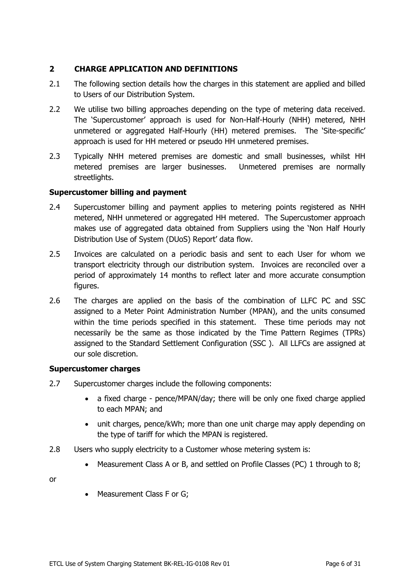# <span id="page-5-0"></span>**2 CHARGE APPLICATION AND DEFINITIONS**

- 2.1 The following section details how the charges in this statement are applied and billed to Users of our Distribution System.
- 2.2 We utilise two billing approaches depending on the type of metering data received. The 'Supercustomer' approach is used for Non-Half-Hourly (NHH) metered, NHH unmetered or aggregated Half-Hourly (HH) metered premises. The 'Site-specific' approach is used for HH metered or pseudo HH unmetered premises.
- 2.3 Typically NHH metered premises are domestic and small businesses, whilst HH metered premises are larger businesses. Unmetered premises are normally streetlights.

# <span id="page-5-1"></span>**Supercustomer billing and payment**

- 2.4 Supercustomer billing and payment applies to metering points registered as NHH metered, NHH unmetered or aggregated HH metered. The Supercustomer approach makes use of aggregated data obtained from Suppliers using the 'Non Half Hourly Distribution Use of System (DUoS) Report' data flow.
- 2.5 Invoices are calculated on a periodic basis and sent to each User for whom we transport electricity through our distribution system. Invoices are reconciled over a period of approximately 14 months to reflect later and more accurate consumption figures.
- 2.6 The charges are applied on the basis of the combination of LLFC PC and SSC assigned to a Meter Point Administration Number (MPAN), and the units consumed within the time periods specified in this statement. These time periods may not necessarily be the same as those indicated by the Time Pattern Regimes (TPRs) assigned to the Standard Settlement Configuration (SSC ). All LLFCs are assigned at our sole discretion.

# <span id="page-5-2"></span>**Supercustomer charges**

- 2.7 Supercustomer charges include the following components:
	- a fixed charge pence/MPAN/day; there will be only one fixed charge applied to each MPAN; and
	- unit charges, pence/kWh; more than one unit charge may apply depending on the type of tariff for which the MPAN is registered.
- 2.8 Users who supply electricity to a Customer whose metering system is:
	- Measurement Class A or B, and settled on Profile Classes (PC) 1 through to 8;

or

• Measurement Class F or G;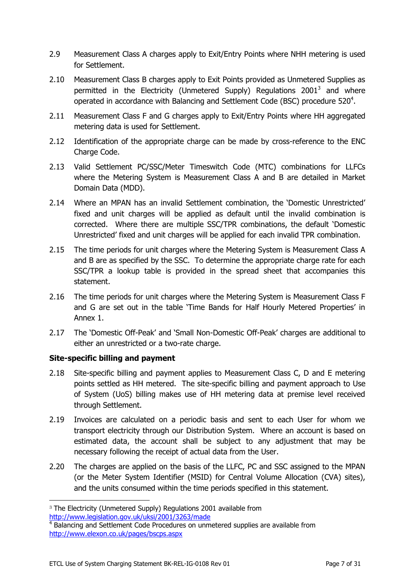- 2.9 Measurement Class A charges apply to Exit/Entry Points where NHH metering is used for Settlement.
- 2.10 Measurement Class B charges apply to Exit Points provided as Unmetered Supplies as permitted in the Electricity (Unmetered Supply) Regulations 2001<sup>3</sup> and where operated in accordance with Balancing and Settlement Code (BSC) procedure 520<sup>4</sup>.
- 2.11 Measurement Class F and G charges apply to Exit/Entry Points where HH aggregated metering data is used for Settlement.
- 2.12 Identification of the appropriate charge can be made by cross-reference to the ENC Charge Code.
- 2.13 Valid Settlement PC/SSC/Meter Timeswitch Code (MTC) combinations for LLFCs where the Metering System is Measurement Class A and B are detailed in Market Domain Data (MDD).
- 2.14 Where an MPAN has an invalid Settlement combination, the 'Domestic Unrestricted' fixed and unit charges will be applied as default until the invalid combination is corrected. Where there are multiple SSC/TPR combinations, the default 'Domestic Unrestricted' fixed and unit charges will be applied for each invalid TPR combination.
- 2.15 The time periods for unit charges where the Metering System is Measurement Class A and B are as specified by the SSC. To determine the appropriate charge rate for each SSC/TPR a lookup table is provided in the spread sheet that accompanies this statement.
- 2.16 The time periods for unit charges where the Metering System is Measurement Class F and G are set out in the table 'Time Bands for Half Hourly Metered Properties' in Annex 1.
- 2.17 The 'Domestic Off-Peak' and 'Small Non-Domestic Off-Peak' charges are additional to either an unrestricted or a two-rate charge.

# <span id="page-6-0"></span>**Site-specific billing and payment**

- 2.18 Site-specific billing and payment applies to Measurement Class C, D and E metering points settled as HH metered. The site-specific billing and payment approach to Use of System (UoS) billing makes use of HH metering data at premise level received through Settlement.
- 2.19 Invoices are calculated on a periodic basis and sent to each User for whom we transport electricity through our Distribution System. Where an account is based on estimated data, the account shall be subject to any adjustment that may be necessary following the receipt of actual data from the User.
- 2.20 The charges are applied on the basis of the LLFC, PC and SSC assigned to the MPAN (or the Meter System Identifier (MSID) for Central Volume Allocation (CVA) sites), and the units consumed within the time periods specified in this statement.

<sup>&</sup>lt;sup>3</sup> The Electricity (Unmetered Supply) Regulations 2001 available from <http://www.legislation.gov.uk/uksi/2001/3263/made>

<sup>&</sup>lt;sup>4</sup> Balancing and Settlement Code Procedures on unmetered supplies are available from <http://www.elexon.co.uk/pages/bscps.aspx>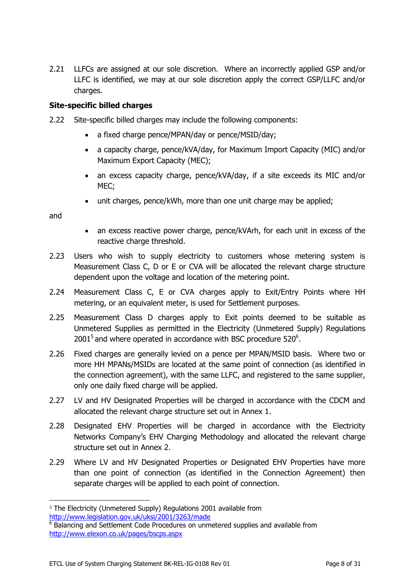2.21 LLFCs are assigned at our sole discretion. Where an incorrectly applied GSP and/or LLFC is identified, we may at our sole discretion apply the correct GSP/LLFC and/or charges.

# <span id="page-7-0"></span>**Site-specific billed charges**

- 2.22 Site-specific billed charges may include the following components:
	- a fixed charge pence/MPAN/day or pence/MSID/day;
	- a capacity charge, pence/kVA/day, for Maximum Import Capacity (MIC) and/or Maximum Export Capacity (MEC);
	- an excess capacity charge, pence/kVA/day, if a site exceeds its MIC and/or MEC;
	- unit charges, pence/kWh, more than one unit charge may be applied;

and

- an excess reactive power charge, pence/kVArh, for each unit in excess of the reactive charge threshold.
- 2.23 Users who wish to supply electricity to customers whose metering system is Measurement Class C, D or E or CVA will be allocated the relevant charge structure dependent upon the voltage and location of the metering point.
- 2.24 Measurement Class C, E or CVA charges apply to Exit/Entry Points where HH metering, or an equivalent meter, is used for Settlement purposes.
- 2.25 Measurement Class D charges apply to Exit points deemed to be suitable as Unmetered Supplies as permitted in the Electricity (Unmetered Supply) Regulations 2001<sup>5</sup> and where operated in accordance with BSC procedure 520 $^6$ .
- 2.26 Fixed charges are generally levied on a pence per MPAN/MSID basis. Where two or more HH MPANs/MSIDs are located at the same point of connection (as identified in the connection agreement), with the same LLFC, and registered to the same supplier, only one daily fixed charge will be applied.
- 2.27 LV and HV Designated Properties will be charged in accordance with the CDCM and allocated the relevant charge structure set out in Annex 1.
- 2.28 Designated EHV Properties will be charged in accordance with the Electricity Networks Company's EHV Charging Methodology and allocated the relevant charge structure set out in Annex 2.
- 2.29 Where LV and HV Designated Properties or Designated EHV Properties have more than one point of connection (as identified in the Connection Agreement) then separate charges will be applied to each point of connection.

<sup>&</sup>lt;sup>5</sup> The Electricity (Unmetered Supply) Regulations 2001 available from <http://www.legislation.gov.uk/uksi/2001/3263/made>

<sup>&</sup>lt;sup>6</sup> Balancing and Settlement Code Procedures on unmetered supplies and available from <http://www.elexon.co.uk/pages/bscps.aspx>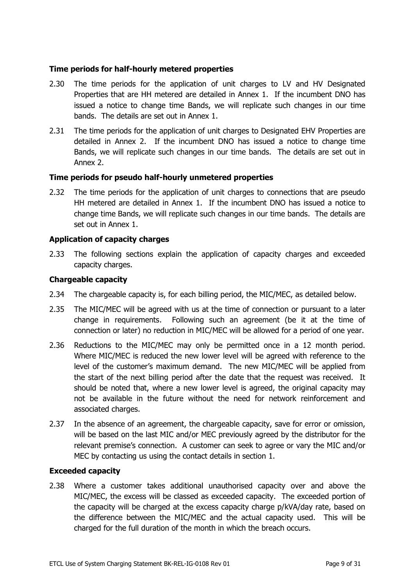## <span id="page-8-0"></span>**Time periods for half-hourly metered properties**

- 2.30 The time periods for the application of unit charges to LV and HV Designated Properties that are HH metered are detailed in Annex 1. If the incumbent DNO has issued a notice to change time Bands, we will replicate such changes in our time bands. The details are set out in Annex 1.
- 2.31 The time periods for the application of unit charges to Designated EHV Properties are detailed in Annex 2. If the incumbent DNO has issued a notice to change time Bands, we will replicate such changes in our time bands. The details are set out in Annex 2.

#### <span id="page-8-1"></span>**Time periods for pseudo half-hourly unmetered properties**

2.32 The time periods for the application of unit charges to connections that are pseudo HH metered are detailed in Annex 1. If the incumbent DNO has issued a notice to change time Bands, we will replicate such changes in our time bands. The details are set out in Annex 1.

#### <span id="page-8-2"></span>**Application of capacity charges**

2.33 The following sections explain the application of capacity charges and exceeded capacity charges.

#### <span id="page-8-3"></span>**Chargeable capacity**

- 2.34 The chargeable capacity is, for each billing period, the MIC/MEC, as detailed below.
- 2.35 The MIC/MEC will be agreed with us at the time of connection or pursuant to a later change in requirements. Following such an agreement (be it at the time of connection or later) no reduction in MIC/MEC will be allowed for a period of one year.
- 2.36 Reductions to the MIC/MEC may only be permitted once in a 12 month period. Where MIC/MEC is reduced the new lower level will be agreed with reference to the level of the customer's maximum demand. The new MIC/MEC will be applied from the start of the next billing period after the date that the request was received. It should be noted that, where a new lower level is agreed, the original capacity may not be available in the future without the need for network reinforcement and associated charges.
- 2.37 In the absence of an agreement, the chargeable capacity, save for error or omission, will be based on the last MIC and/or MEC previously agreed by the distributor for the relevant premise's connection. A customer can seek to agree or vary the MIC and/or MEC by contacting us using the contact details in section [1.](#page-3-0)

#### <span id="page-8-4"></span>**Exceeded capacity**

2.38 Where a customer takes additional unauthorised capacity over and above the MIC/MEC, the excess will be classed as exceeded capacity. The exceeded portion of the capacity will be charged at the excess capacity charge p/kVA/day rate, based on the difference between the MIC/MEC and the actual capacity used. This will be charged for the full duration of the month in which the breach occurs.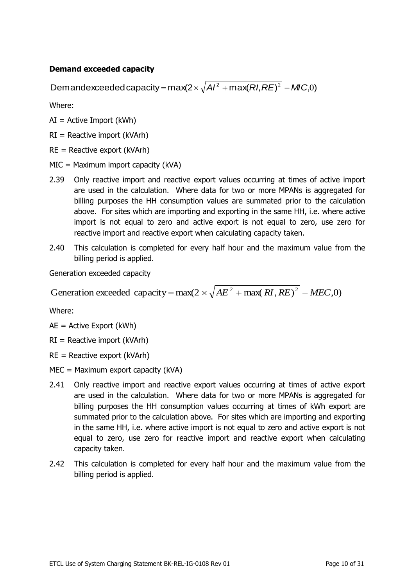# <span id="page-9-0"></span>**Demand exceeded capacity**

Demandexceeded capacity = max(2  $\times$   $\sqrt{A}$ /<sup>2</sup> + max(*RI*, *RE*)<sup>2</sup> - *MIC*,0)

Where:

 $AI = Active Import (kWh)$ 

 $RI =$  Reactive import (kVArh)

RE = Reactive export (kVArh)

MIC = Maximum import capacity (kVA)

- 2.39 Only reactive import and reactive export values occurring at times of active import are used in the calculation. Where data for two or more MPANs is aggregated for billing purposes the HH consumption values are summated prior to the calculation above. For sites which are importing and exporting in the same HH, i.e. where active import is not equal to zero and active export is not equal to zero, use zero for reactive import and reactive export when calculating capacity taken.
- 2.40 This calculation is completed for every half hour and the maximum value from the billing period is applied.

<span id="page-9-1"></span>Generation exceeded capacity

Generation exceeded capacity =  $max(2 \times \sqrt{AE^2 + max(RI, RE)^2 - MEC, 0})$ 

Where:

AE = Active Export (kWh)

 $RI =$  Reactive import (kVArh)

 $RE =$  Reactive export (kVArh)

MEC = Maximum export capacity (kVA)

- 2.41 Only reactive import and reactive export values occurring at times of active export are used in the calculation. Where data for two or more MPANs is aggregated for billing purposes the HH consumption values occurring at times of kWh export are summated prior to the calculation above. For sites which are importing and exporting in the same HH, i.e. where active import is not equal to zero and active export is not equal to zero, use zero for reactive import and reactive export when calculating capacity taken.
- 2.42 This calculation is completed for every half hour and the maximum value from the billing period is applied.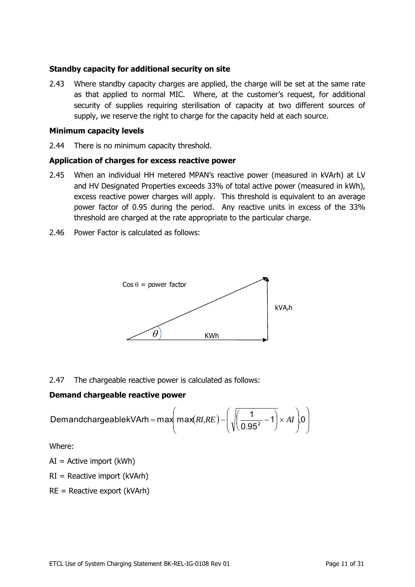#### <span id="page-10-0"></span>**Standby capacity for additional security on site**

2.43 Where standby capacity charges are applied, the charge will be set at the same rate as that applied to normal MIC. Where, at the customer's request, for additional security of supplies requiring sterilisation of capacity at two different sources of supply, we reserve the right to charge for the capacity held at each source.

#### <span id="page-10-1"></span>**Minimum capacity levels**

2.44 There is no minimum capacity threshold.

#### <span id="page-10-2"></span>**Application of charges for excess reactive power**

- 2.45 When an individual HH metered MPAN's reactive power (measured in kVArh) at LV and HV Designated Properties exceeds 33% of total active power (measured in kWh), excess reactive power charges will apply. This threshold is equivalent to an average power factor of 0.95 during the period. Any reactive units in excess of the 33% threshold are charged at the rate appropriate to the particular charge.
- 2.46 Power Factor is calculated as follows:



# 2.47 The chargeable reactive power is calculated as follows:

# <span id="page-10-3"></span>**Demand chargeable reactive power**

$$
DemandchargeablekVArh = max\left(max(RI,RE) - \left(\sqrt{\left(\frac{1}{0.95^2} - 1\right)} \times AI\right) 0\right)
$$

Where:

 $AI =$  Active import (kWh)

 $RI =$  Reactive import (kVArh)

 $RE =$  Reactive export (kVArh)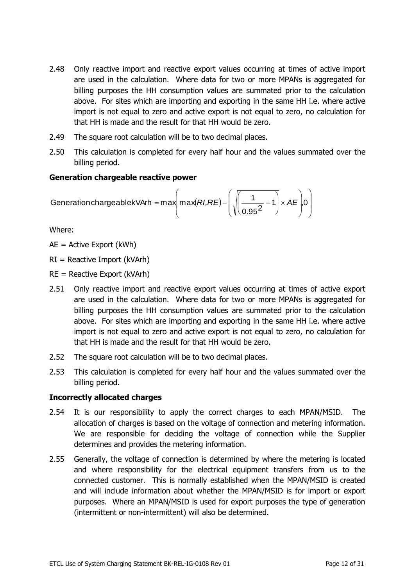- 2.48 Only reactive import and reactive export values occurring at times of active import are used in the calculation. Where data for two or more MPANs is aggregated for billing purposes the HH consumption values are summated prior to the calculation above. For sites which are importing and exporting in the same HH i.e. where active import is not equal to zero and active export is not equal to zero, no calculation for that HH is made and the result for that HH would be zero.
- 2.49 The square root calculation will be to two decimal places.
- 2.50 This calculation is completed for every half hour and the values summated over the billing period.

#### <span id="page-11-0"></span>**Generation chargeable reactive power**

$$
Generation chargeablekVArh = max\left(max(RI,RE) - \left(\sqrt{\frac{1}{0.95^2} - 1}\right) \times AE\right)0
$$

Where:

AE = Active Export (kWh)

 $RI =$  Reactive Import (kVArh)

RE = Reactive Export (kVArh)

- 2.51 Only reactive import and reactive export values occurring at times of active export are used in the calculation. Where data for two or more MPANs is aggregated for billing purposes the HH consumption values are summated prior to the calculation above. For sites which are importing and exporting in the same HH i.e. where active import is not equal to zero and active export is not equal to zero, no calculation for that HH is made and the result for that HH would be zero.
- 2.52 The square root calculation will be to two decimal places.
- 2.53 This calculation is completed for every half hour and the values summated over the billing period.

# <span id="page-11-1"></span>**Incorrectly allocated charges**

- 2.54 It is our responsibility to apply the correct charges to each MPAN/MSID. The allocation of charges is based on the voltage of connection and metering information. We are responsible for deciding the voltage of connection while the Supplier determines and provides the metering information.
- 2.55 Generally, the voltage of connection is determined by where the metering is located and where responsibility for the electrical equipment transfers from us to the connected customer. This is normally established when the MPAN/MSID is created and will include information about whether the MPAN/MSID is for import or export purposes. Where an MPAN/MSID is used for export purposes the type of generation (intermittent or non-intermittent) will also be determined.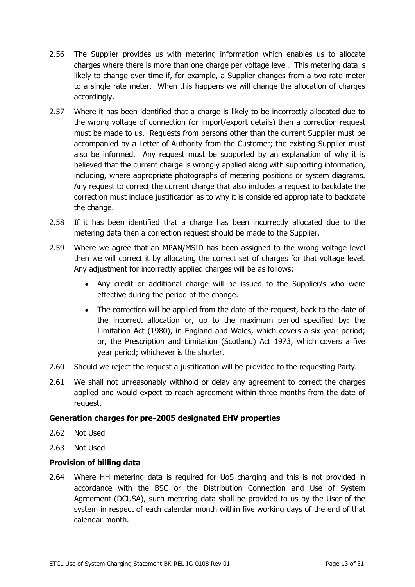- 2.56 The Supplier provides us with metering information which enables us to allocate charges where there is more than one charge per voltage level. This metering data is likely to change over time if, for example, a Supplier changes from a two rate meter to a single rate meter. When this happens we will change the allocation of charges accordingly.
- 2.57 Where it has been identified that a charge is likely to be incorrectly allocated due to the wrong voltage of connection (or import/export details) then a correction request must be made to us. Requests from persons other than the current Supplier must be accompanied by a Letter of Authority from the Customer; the existing Supplier must also be informed. Any request must be supported by an explanation of why it is believed that the current charge is wrongly applied along with supporting information, including, where appropriate photographs of metering positions or system diagrams. Any request to correct the current charge that also includes a request to backdate the correction must include justification as to why it is considered appropriate to backdate the change.
- 2.58 If it has been identified that a charge has been incorrectly allocated due to the metering data then a correction request should be made to the Supplier.
- 2.59 Where we agree that an MPAN/MSID has been assigned to the wrong voltage level then we will correct it by allocating the correct set of charges for that voltage level. Any adjustment for incorrectly applied charges will be as follows:
	- Any credit or additional charge will be issued to the Supplier/s who were effective during the period of the change.
	- The correction will be applied from the date of the request, back to the date of the incorrect allocation or, up to the maximum period specified by: the Limitation Act (1980), in England and Wales, which covers a six year period; or, the Prescription and Limitation (Scotland) Act 1973, which covers a five year period; whichever is the shorter.
- 2.60 Should we reject the request a justification will be provided to the requesting Party.
- 2.61 We shall not unreasonably withhold or delay any agreement to correct the charges applied and would expect to reach agreement within three months from the date of request.

#### <span id="page-12-0"></span>**Generation charges for pre-2005 designated EHV properties**

- 2.62 Not Used
- 2.63 Not Used

# <span id="page-12-1"></span>**Provision of billing data**

2.64 Where HH metering data is required for UoS charging and this is not provided in accordance with the BSC or the Distribution Connection and Use of System Agreement (DCUSA), such metering data shall be provided to us by the User of the system in respect of each calendar month within five working days of the end of that calendar month.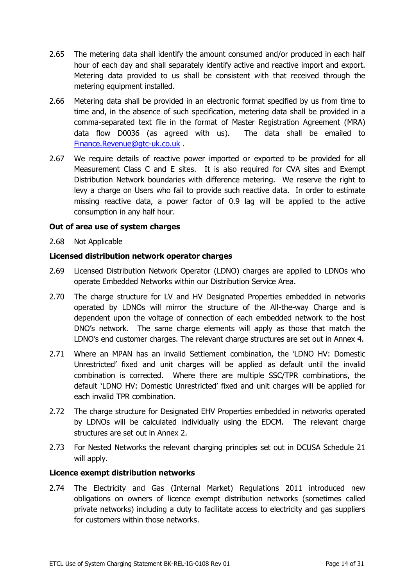- 2.65 The metering data shall identify the amount consumed and/or produced in each half hour of each day and shall separately identify active and reactive import and export. Metering data provided to us shall be consistent with that received through the metering equipment installed.
- 2.66 Metering data shall be provided in an electronic format specified by us from time to time and, in the absence of such specification, metering data shall be provided in a comma-separated text file in the format of Master Registration Agreement (MRA) data flow D0036 (as agreed with us). The data shall be emailed to [Finance.Revenue@gtc-uk.co.uk](mailto:Finance.Revenue@gtc-uk.co.uk) .
- 2.67 We require details of reactive power imported or exported to be provided for all Measurement Class C and E sites. It is also required for CVA sites and Exempt Distribution Network boundaries with difference metering. We reserve the right to levy a charge on Users who fail to provide such reactive data. In order to estimate missing reactive data, a power factor of 0.9 lag will be applied to the active consumption in any half hour.

#### <span id="page-13-0"></span>**Out of area use of system charges**

2.68 Not Applicable

#### <span id="page-13-1"></span>**Licensed distribution network operator charges**

- 2.69 Licensed Distribution Network Operator (LDNO) charges are applied to LDNOs who operate Embedded Networks within our Distribution Service Area.
- 2.70 The charge structure for LV and HV Designated Properties embedded in networks operated by LDNOs will mirror the structure of the All-the-way Charge and is dependent upon the voltage of connection of each embedded network to the host DNO's network. The same charge elements will apply as those that match the LDNO's end customer charges. The relevant charge structures are set out in Annex 4.
- 2.71 Where an MPAN has an invalid Settlement combination, the 'LDNO HV: Domestic Unrestricted' fixed and unit charges will be applied as default until the invalid combination is corrected. Where there are multiple SSC/TPR combinations, the default 'LDNO HV: Domestic Unrestricted' fixed and unit charges will be applied for each invalid TPR combination.
- 2.72 The charge structure for Designated EHV Properties embedded in networks operated by LDNOs will be calculated individually using the EDCM. The relevant charge structures are set out in Annex 2.
- 2.73 For Nested Networks the relevant charging principles set out in DCUSA Schedule 21 will apply.

# <span id="page-13-2"></span>**Licence exempt distribution networks**

2.74 The Electricity and Gas (Internal Market) Regulations 2011 introduced new obligations on owners of licence exempt distribution networks (sometimes called private networks) including a duty to facilitate access to electricity and gas suppliers for customers within those networks.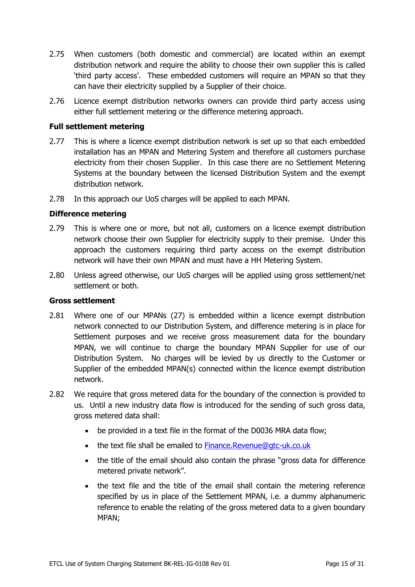- 2.75 When customers (both domestic and commercial) are located within an exempt distribution network and require the ability to choose their own supplier this is called 'third party access'. These embedded customers will require an MPAN so that they can have their electricity supplied by a Supplier of their choice.
- 2.76 Licence exempt distribution networks owners can provide third party access using either full settlement metering or the difference metering approach.

#### <span id="page-14-0"></span>**Full settlement metering**

- 2.77 This is where a licence exempt distribution network is set up so that each embedded installation has an MPAN and Metering System and therefore all customers purchase electricity from their chosen Supplier. In this case there are no Settlement Metering Systems at the boundary between the licensed Distribution System and the exempt distribution network.
- 2.78 In this approach our UoS charges will be applied to each MPAN.

#### <span id="page-14-1"></span>**Difference metering**

- 2.79 This is where one or more, but not all, customers on a licence exempt distribution network choose their own Supplier for electricity supply to their premise. Under this approach the customers requiring third party access on the exempt distribution network will have their own MPAN and must have a HH Metering System.
- 2.80 Unless agreed otherwise, our UoS charges will be applied using gross settlement/net settlement or both.

#### <span id="page-14-2"></span>**Gross settlement**

- 2.81 Where one of our MPANs (27) is embedded within a licence exempt distribution network connected to our Distribution System, and difference metering is in place for Settlement purposes and we receive gross measurement data for the boundary MPAN, we will continue to charge the boundary MPAN Supplier for use of our Distribution System. No charges will be levied by us directly to the Customer or Supplier of the embedded MPAN(s) connected within the licence exempt distribution network.
- 2.82 We require that gross metered data for the boundary of the connection is provided to us. Until a new industry data flow is introduced for the sending of such gross data, gross metered data shall:
	- be provided in a text file in the format of the D0036 MRA data flow;
	- the text file shall be emailed to [Finance.Revenue@gtc-uk.co.uk](mailto:Finance.Revenue@gtc-uk.co.uk)
	- the title of the email should also contain the phrase "gross data for difference metered private network".
	- the text file and the title of the email shall contain the metering reference specified by us in place of the Settlement MPAN, i.e. a dummy alphanumeric reference to enable the relating of the gross metered data to a given boundary MPAN;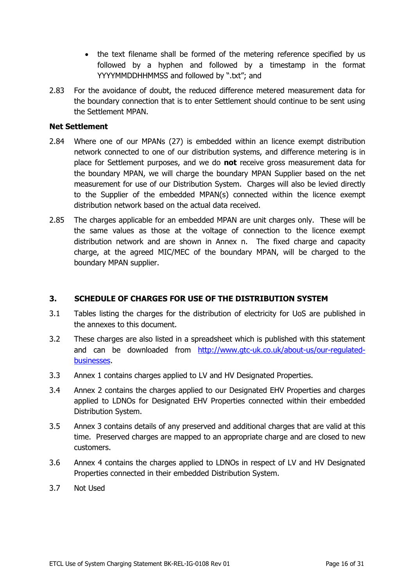- the text filename shall be formed of the metering reference specified by us followed by a hyphen and followed by a timestamp in the format YYYYMMDDHHMMSS and followed by ".txt"; and
- 2.83 For the avoidance of doubt, the reduced difference metered measurement data for the boundary connection that is to enter Settlement should continue to be sent using the Settlement MPAN.

#### <span id="page-15-0"></span>**Net Settlement**

- 2.84 Where one of our MPANs (27) is embedded within an licence exempt distribution network connected to one of our distribution systems, and difference metering is in place for Settlement purposes, and we do **not** receive gross measurement data for the boundary MPAN, we will charge the boundary MPAN Supplier based on the net measurement for use of our Distribution System. Charges will also be levied directly to the Supplier of the embedded MPAN(s) connected within the licence exempt distribution network based on the actual data received.
- 2.85 The charges applicable for an embedded MPAN are unit charges only. These will be the same values as those at the voltage of connection to the licence exempt distribution network and are shown in Annex n. The fixed charge and capacity charge, at the agreed MIC/MEC of the boundary MPAN, will be charged to the boundary MPAN supplier.

# <span id="page-15-1"></span>**3. SCHEDULE OF CHARGES FOR USE OF THE DISTRIBUTION SYSTEM**

- 3.1 Tables listing the charges for the distribution of electricity for UoS are published in the annexes to this document.
- 3.2 These charges are also listed in a spreadsheet which is published with this statement and can be downloaded from [http://www.gtc-uk.co.uk/about-us/our-regulated](http://www.gtc-uk.co.uk/about-us/our-regulated-businesses)[businesses.](http://www.gtc-uk.co.uk/about-us/our-regulated-businesses)
- 3.3 Annex 1 contains charges applied to LV and HV Designated Properties.
- 3.4 Annex 2 contains the charges applied to our Designated EHV Properties and charges applied to LDNOs for Designated EHV Properties connected within their embedded Distribution System.
- 3.5 Annex 3 contains details of any preserved and additional charges that are valid at this time. Preserved charges are mapped to an appropriate charge and are closed to new customers.
- 3.6 Annex 4 contains the charges applied to LDNOs in respect of LV and HV Designated Properties connected in their embedded Distribution System.
- 3.7 Not Used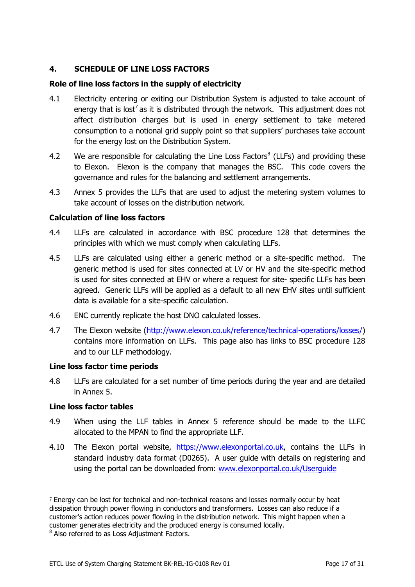# <span id="page-16-0"></span>**4. SCHEDULE OF LINE LOSS FACTORS**

# <span id="page-16-1"></span>**Role of line loss factors in the supply of electricity**

- 4.1 Electricity entering or exiting our Distribution System is adjusted to take account of energy that is lost<sup>7</sup> as it is distributed through the network. This adjustment does not affect distribution charges but is used in energy settlement to take metered consumption to a notional grid supply point so that suppliers' purchases take account for the energy lost on the Distribution System.
- 4.2 We are responsible for calculating the Line Loss Factors $^8$  (LLFs) and providing these to Elexon. Elexon is the company that manages the BSC. This code covers the governance and rules for the balancing and settlement arrangements.
- 4.3 Annex 5 provides the LLFs that are used to adjust the metering system volumes to take account of losses on the distribution network.

#### <span id="page-16-2"></span>**Calculation of line loss factors**

- 4.4 LLFs are calculated in accordance with BSC procedure 128 that determines the principles with which we must comply when calculating LLFs.
- 4.5 LLFs are calculated using either a generic method or a site-specific method. The generic method is used for sites connected at LV or HV and the site-specific method is used for sites connected at EHV or where a request for site- specific LLFs has been agreed. Generic LLFs will be applied as a default to all new EHV sites until sufficient data is available for a site-specific calculation.
- 4.6 ENC currently replicate the host DNO calculated losses.
- 4.7 The Elexon website [\(http://www.elexon.co.uk/reference/technical-operations/losses/\)](http://www.elexon.co.uk/reference/technical-operations/losses/) contains more information on LLFs. This page also has links to BSC procedure 128 and to our LLF methodology.

#### <span id="page-16-3"></span>**Line loss factor time periods**

4.8 LLFs are calculated for a set number of time periods during the year and are detailed in Annex 5.

#### <span id="page-16-4"></span>**Line loss factor tables**

l

- 4.9 When using the LLF tables in Annex 5 reference should be made to the LLFC allocated to the MPAN to find the appropriate LLF.
- 4.10 The Elexon portal website, [https://www.elexonportal.co.uk,](https://www.bsccentralservices.com/) contains the LLFs in standard industry data format (D0265). A user guide with details on registering and using the portal can be downloaded from: www.elexonportal.co.uk/Userquide

<sup>7</sup> Energy can be lost for technical and non-technical reasons and losses normally occur by heat dissipation through power flowing in conductors and transformers. Losses can also reduce if a customer's action reduces power flowing in the distribution network. This might happen when a customer generates electricity and the produced energy is consumed locally.

 $^8$  Also referred to as Loss Adjustment Factors.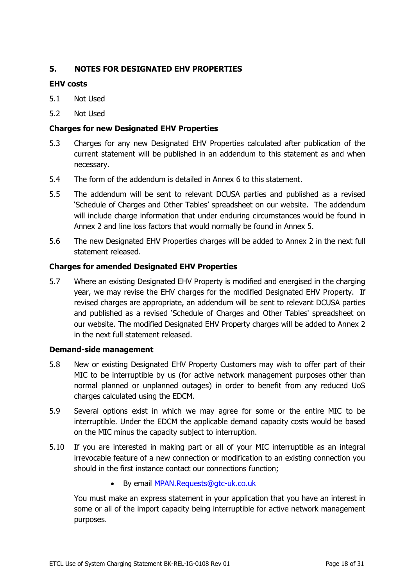# <span id="page-17-0"></span>**5. NOTES FOR DESIGNATED EHV PROPERTIES**

# <span id="page-17-1"></span>**EHV costs**

- 5.1 Not Used
- 5.2 Not Used

# <span id="page-17-2"></span>**Charges for new Designated EHV Properties**

- 5.3 Charges for any new Designated EHV Properties calculated after publication of the current statement will be published in an addendum to this statement as and when necessary.
- 5.4 The form of the addendum is detailed in Annex 6 to this statement.
- 5.5 The addendum will be sent to relevant DCUSA parties and published as a revised 'Schedule of Charges and Other Tables' spreadsheet on our website. The addendum will include charge information that under enduring circumstances would be found in Annex 2 and line loss factors that would normally be found in Annex 5.
- 5.6 The new Designated EHV Properties charges will be added to Annex 2 in the next full statement released.

# <span id="page-17-3"></span>**Charges for amended Designated EHV Properties**

5.7 Where an existing Designated EHV Property is modified and energised in the charging year, we may revise the EHV charges for the modified Designated EHV Property. If revised charges are appropriate, an addendum will be sent to relevant DCUSA parties and published as a revised 'Schedule of Charges and Other Tables' spreadsheet on our website. The modified Designated EHV Property charges will be added to Annex 2 in the next full statement released.

#### <span id="page-17-4"></span>**Demand-side management**

- 5.8 New or existing Designated EHV Property Customers may wish to offer part of their MIC to be interruptible by us (for active network management purposes other than normal planned or unplanned outages) in order to benefit from any reduced UoS charges calculated using the EDCM.
- 5.9 Several options exist in which we may agree for some or the entire MIC to be interruptible. Under the EDCM the applicable demand capacity costs would be based on the MIC minus the capacity subject to interruption.
- 5.10 If you are interested in making part or all of your MIC interruptible as an integral irrevocable feature of a new connection or modification to an existing connection you should in the first instance contact our connections function;
	- By email **MPAN.Requests@gtc-uk.co.uk**

You must make an express statement in your application that you have an interest in some or all of the import capacity being interruptible for active network management purposes.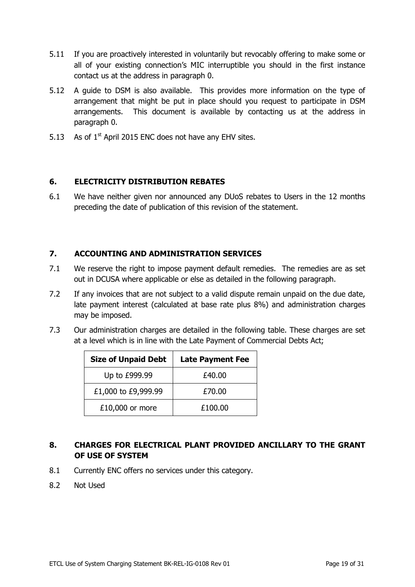- 5.11 If you are proactively interested in voluntarily but revocably offering to make some or all of your existing connection's MIC interruptible you should in the first instance contact us at the address in paragraph [0.](#page-4-1)
- 5.12 A guide to DSM is also available. This provides more information on the type of arrangement that might be put in place should you request to participate in DSM arrangements. This document is available by contacting us at the address in paragraph [0.](#page-4-1)
- 5.13 As of  $1<sup>st</sup>$  April 2015 ENC does not have any EHV sites.

# <span id="page-18-0"></span>**6. ELECTRICITY DISTRIBUTION REBATES**

6.1 We have neither given nor announced any DUoS rebates to Users in the 12 months preceding the date of publication of this revision of the statement.

# <span id="page-18-1"></span>**7. ACCOUNTING AND ADMINISTRATION SERVICES**

- 7.1 We reserve the right to impose payment default remedies. The remedies are as set out in DCUSA where applicable or else as detailed in the following paragraph.
- 7.2 If any invoices that are not subject to a valid dispute remain unpaid on the due date, late payment interest (calculated at base rate plus 8%) and administration charges may be imposed.
- 7.3 Our administration charges are detailed in the following table. These charges are set at a level which is in line with the Late Payment of Commercial Debts Act;

| <b>Size of Unpaid Debt</b> | <b>Late Payment Fee</b> |
|----------------------------|-------------------------|
| Up to £999.99              | £40.00                  |
| £1,000 to £9,999.99        | £70.00                  |
| £10,000 or more            | £100.00                 |

# <span id="page-18-2"></span>**8. CHARGES FOR ELECTRICAL PLANT PROVIDED ANCILLARY TO THE GRANT OF USE OF SYSTEM**

- 8.1 Currently ENC offers no services under this category.
- 8.2 Not Used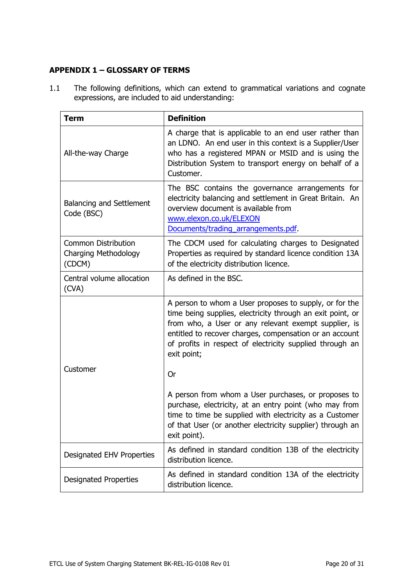# <span id="page-19-0"></span>**APPENDIX 1 – GLOSSARY OF TERMS**

1.1 The following definitions, which can extend to grammatical variations and cognate expressions, are included to aid understanding:

| <b>Term</b>                                                         | <b>Definition</b>                                                                                                                                                                                                                                                                                                  |  |  |  |
|---------------------------------------------------------------------|--------------------------------------------------------------------------------------------------------------------------------------------------------------------------------------------------------------------------------------------------------------------------------------------------------------------|--|--|--|
| All-the-way Charge                                                  | A charge that is applicable to an end user rather than<br>an LDNO. An end user in this context is a Supplier/User<br>who has a registered MPAN or MSID and is using the<br>Distribution System to transport energy on behalf of a<br>Customer.                                                                     |  |  |  |
| <b>Balancing and Settlement</b><br>Code (BSC)                       | The BSC contains the governance arrangements for<br>electricity balancing and settlement in Great Britain. An<br>overview document is available from<br>www.elexon.co.uk/ELEXON<br>Documents/trading arrangements.pdf.                                                                                             |  |  |  |
| <b>Common Distribution</b><br><b>Charging Methodology</b><br>(CDCM) | The CDCM used for calculating charges to Designated<br>Properties as required by standard licence condition 13A<br>of the electricity distribution licence.                                                                                                                                                        |  |  |  |
| Central volume allocation<br>(CVA)                                  | As defined in the BSC.                                                                                                                                                                                                                                                                                             |  |  |  |
|                                                                     | A person to whom a User proposes to supply, or for the<br>time being supplies, electricity through an exit point, or<br>from who, a User or any relevant exempt supplier, is<br>entitled to recover charges, compensation or an account<br>of profits in respect of electricity supplied through an<br>exit point; |  |  |  |
| Customer                                                            | Or                                                                                                                                                                                                                                                                                                                 |  |  |  |
|                                                                     | A person from whom a User purchases, or proposes to<br>purchase, electricity, at an entry point (who may from<br>time to time be supplied with electricity as a Customer<br>of that User (or another electricity supplier) through an<br>exit point).                                                              |  |  |  |
| Designated EHV Properties                                           | As defined in standard condition 13B of the electricity<br>distribution licence.                                                                                                                                                                                                                                   |  |  |  |
| <b>Designated Properties</b>                                        | As defined in standard condition 13A of the electricity<br>distribution licence.                                                                                                                                                                                                                                   |  |  |  |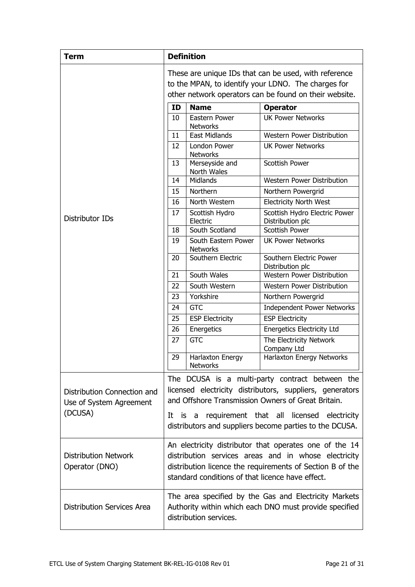| <b>Term</b>                                                       | <b>Definition</b>                                                                                                                                                                                                                                                                 |                                        |                                                   |  |  |
|-------------------------------------------------------------------|-----------------------------------------------------------------------------------------------------------------------------------------------------------------------------------------------------------------------------------------------------------------------------------|----------------------------------------|---------------------------------------------------|--|--|
|                                                                   | These are unique IDs that can be used, with reference<br>to the MPAN, to identify your LDNO. The charges for<br>other network operators can be found on their website.                                                                                                            |                                        |                                                   |  |  |
|                                                                   | ID                                                                                                                                                                                                                                                                                | <b>Name</b>                            | <b>Operator</b>                                   |  |  |
|                                                                   | 10                                                                                                                                                                                                                                                                                | Eastern Power<br><b>Networks</b>       | <b>UK Power Networks</b>                          |  |  |
|                                                                   | 11                                                                                                                                                                                                                                                                                | <b>East Midlands</b>                   | Western Power Distribution                        |  |  |
|                                                                   | 12                                                                                                                                                                                                                                                                                | London Power<br><b>Networks</b>        | <b>UK Power Networks</b>                          |  |  |
|                                                                   | 13                                                                                                                                                                                                                                                                                | Merseyside and<br>North Wales          | <b>Scottish Power</b>                             |  |  |
|                                                                   | 14                                                                                                                                                                                                                                                                                | Midlands                               | <b>Western Power Distribution</b>                 |  |  |
|                                                                   | 15                                                                                                                                                                                                                                                                                | Northern                               | Northern Powergrid                                |  |  |
|                                                                   | 16                                                                                                                                                                                                                                                                                | North Western                          | <b>Electricity North West</b>                     |  |  |
| Distributor IDs                                                   | 17                                                                                                                                                                                                                                                                                | Scottish Hydro<br>Electric             | Scottish Hydro Electric Power<br>Distribution plc |  |  |
|                                                                   | 18                                                                                                                                                                                                                                                                                | South Scotland                         | Scottish Power                                    |  |  |
|                                                                   | 19                                                                                                                                                                                                                                                                                | South Eastern Power<br><b>Networks</b> | <b>UK Power Networks</b>                          |  |  |
|                                                                   | 20                                                                                                                                                                                                                                                                                | Southern Electric                      | Southern Electric Power<br>Distribution plc       |  |  |
|                                                                   | 21                                                                                                                                                                                                                                                                                | South Wales                            | <b>Western Power Distribution</b>                 |  |  |
|                                                                   | 22                                                                                                                                                                                                                                                                                | South Western                          | Western Power Distribution                        |  |  |
|                                                                   | 23                                                                                                                                                                                                                                                                                | Yorkshire                              | Northern Powergrid                                |  |  |
|                                                                   | 24                                                                                                                                                                                                                                                                                | <b>GTC</b>                             | Independent Power Networks                        |  |  |
|                                                                   | 25                                                                                                                                                                                                                                                                                | <b>ESP Electricity</b>                 | <b>ESP Electricity</b>                            |  |  |
|                                                                   | 26                                                                                                                                                                                                                                                                                | Energetics                             | <b>Energetics Electricity Ltd</b>                 |  |  |
|                                                                   | 27                                                                                                                                                                                                                                                                                | <b>GTC</b>                             | The Electricity Network<br>Company Ltd            |  |  |
|                                                                   | 29                                                                                                                                                                                                                                                                                | Harlaxton Energy<br><b>Networks</b>    | Harlaxton Energy Networks                         |  |  |
| Distribution Connection and<br>Use of System Agreement<br>(DCUSA) | The DCUSA is a multi-party contract between the<br>licensed electricity distributors, suppliers, generators<br>and Offshore Transmission Owners of Great Britain.<br>It is a requirement that all licensed electricity<br>distributors and suppliers become parties to the DCUSA. |                                        |                                                   |  |  |
| <b>Distribution Network</b><br>Operator (DNO)                     | An electricity distributor that operates one of the 14<br>distribution services areas and in whose electricity<br>distribution licence the requirements of Section B of the<br>standard conditions of that licence have effect.                                                   |                                        |                                                   |  |  |
| <b>Distribution Services Area</b>                                 | The area specified by the Gas and Electricity Markets<br>Authority within which each DNO must provide specified<br>distribution services.                                                                                                                                         |                                        |                                                   |  |  |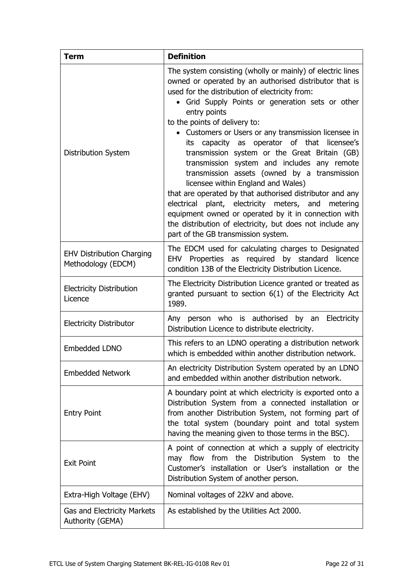| <b>Term</b>                                            | <b>Definition</b>                                                                                                                                                                                                                                                                                                                                                                                                                                                                                                                                                                                                                                                                                                                                                                                                                                            |  |  |  |
|--------------------------------------------------------|--------------------------------------------------------------------------------------------------------------------------------------------------------------------------------------------------------------------------------------------------------------------------------------------------------------------------------------------------------------------------------------------------------------------------------------------------------------------------------------------------------------------------------------------------------------------------------------------------------------------------------------------------------------------------------------------------------------------------------------------------------------------------------------------------------------------------------------------------------------|--|--|--|
| Distribution System                                    | The system consisting (wholly or mainly) of electric lines<br>owned or operated by an authorised distributor that is<br>used for the distribution of electricity from:<br>• Grid Supply Points or generation sets or other<br>entry points<br>to the points of delivery to:<br>• Customers or Users or any transmission licensee in<br>capacity as operator of that<br>licensee's<br>its<br>transmission system or the Great Britain (GB)<br>transmission system and includes any remote<br>transmission assets (owned by a transmission<br>licensee within England and Wales)<br>that are operated by that authorised distributor and any<br>electrical plant, electricity meters, and metering<br>equipment owned or operated by it in connection with<br>the distribution of electricity, but does not include any<br>part of the GB transmission system. |  |  |  |
| <b>EHV Distribution Charging</b><br>Methodology (EDCM) | The EDCM used for calculating charges to Designated<br>EHV Properties as required by standard licence<br>condition 13B of the Electricity Distribution Licence.                                                                                                                                                                                                                                                                                                                                                                                                                                                                                                                                                                                                                                                                                              |  |  |  |
| <b>Electricity Distribution</b><br>Licence             | The Electricity Distribution Licence granted or treated as<br>granted pursuant to section 6(1) of the Electricity Act<br>1989.                                                                                                                                                                                                                                                                                                                                                                                                                                                                                                                                                                                                                                                                                                                               |  |  |  |
| <b>Electricity Distributor</b>                         | Any person who is authorised by an Electricity<br>Distribution Licence to distribute electricity.                                                                                                                                                                                                                                                                                                                                                                                                                                                                                                                                                                                                                                                                                                                                                            |  |  |  |
| Embedded LDNO                                          | This refers to an LDNO operating a distribution network<br>which is embedded within another distribution network.                                                                                                                                                                                                                                                                                                                                                                                                                                                                                                                                                                                                                                                                                                                                            |  |  |  |
| <b>Embedded Network</b>                                | An electricity Distribution System operated by an LDNO<br>and embedded within another distribution network.                                                                                                                                                                                                                                                                                                                                                                                                                                                                                                                                                                                                                                                                                                                                                  |  |  |  |
| <b>Entry Point</b>                                     | A boundary point at which electricity is exported onto a<br>Distribution System from a connected installation or<br>from another Distribution System, not forming part of<br>the total system (boundary point and total system<br>having the meaning given to those terms in the BSC).                                                                                                                                                                                                                                                                                                                                                                                                                                                                                                                                                                       |  |  |  |
| <b>Exit Point</b>                                      | A point of connection at which a supply of electricity<br>may flow from the Distribution System to the<br>Customer's installation or User's installation or the<br>Distribution System of another person.                                                                                                                                                                                                                                                                                                                                                                                                                                                                                                                                                                                                                                                    |  |  |  |
| Extra-High Voltage (EHV)                               | Nominal voltages of 22kV and above.                                                                                                                                                                                                                                                                                                                                                                                                                                                                                                                                                                                                                                                                                                                                                                                                                          |  |  |  |
| Gas and Electricity Markets<br>Authority (GEMA)        | As established by the Utilities Act 2000.                                                                                                                                                                                                                                                                                                                                                                                                                                                                                                                                                                                                                                                                                                                                                                                                                    |  |  |  |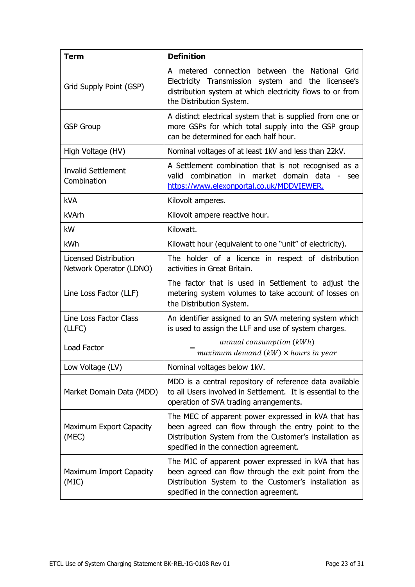| <b>Term</b>                                                                                                                                                                                                                                         | <b>Definition</b>                                                                                                                                                                                              |  |  |  |  |
|-----------------------------------------------------------------------------------------------------------------------------------------------------------------------------------------------------------------------------------------------------|----------------------------------------------------------------------------------------------------------------------------------------------------------------------------------------------------------------|--|--|--|--|
| Grid Supply Point (GSP)                                                                                                                                                                                                                             | A metered connection between the National Grid<br>Electricity Transmission system and the licensee's<br>distribution system at which electricity flows to or from<br>the Distribution System.                  |  |  |  |  |
| <b>GSP Group</b>                                                                                                                                                                                                                                    | A distinct electrical system that is supplied from one or<br>more GSPs for which total supply into the GSP group<br>can be determined for each half hour.                                                      |  |  |  |  |
| High Voltage (HV)                                                                                                                                                                                                                                   | Nominal voltages of at least 1kV and less than 22kV.                                                                                                                                                           |  |  |  |  |
| <b>Invalid Settlement</b><br>Combination                                                                                                                                                                                                            | A Settlement combination that is not recognised as a<br>valid combination<br>market domain data<br>in<br>- see<br>https://www.elexonportal.co.uk/MDDVIEWER.                                                    |  |  |  |  |
| <b>kVA</b>                                                                                                                                                                                                                                          | Kilovolt amperes.                                                                                                                                                                                              |  |  |  |  |
| kVArh                                                                                                                                                                                                                                               | Kilovolt ampere reactive hour.                                                                                                                                                                                 |  |  |  |  |
| kW                                                                                                                                                                                                                                                  | Kilowatt.                                                                                                                                                                                                      |  |  |  |  |
| kWh                                                                                                                                                                                                                                                 | Kilowatt hour (equivalent to one "unit" of electricity).                                                                                                                                                       |  |  |  |  |
| Licensed Distribution<br>Network Operator (LDNO)                                                                                                                                                                                                    | The holder of a licence in respect of distribution<br>activities in Great Britain.                                                                                                                             |  |  |  |  |
| Line Loss Factor (LLF)                                                                                                                                                                                                                              | The factor that is used in Settlement to adjust the<br>metering system volumes to take account of losses on<br>the Distribution System.                                                                        |  |  |  |  |
| Line Loss Factor Class<br>(LLFC)                                                                                                                                                                                                                    | An identifier assigned to an SVA metering system which<br>is used to assign the LLF and use of system charges.                                                                                                 |  |  |  |  |
| Load Factor                                                                                                                                                                                                                                         | annual consumption (kWh)<br>maximum demand $(kW) \times$ hours in year                                                                                                                                         |  |  |  |  |
| Low Voltage (LV)<br>Nominal voltages below 1kV.                                                                                                                                                                                                     |                                                                                                                                                                                                                |  |  |  |  |
| MDD is a central repository of reference data available<br>Market Domain Data (MDD)<br>to all Users involved in Settlement. It is essential to the<br>operation of SVA trading arrangements.                                                        |                                                                                                                                                                                                                |  |  |  |  |
| The MEC of apparent power expressed in kVA that has<br>been agreed can flow through the entry point to the<br>Maximum Export Capacity<br>Distribution System from the Customer's installation as<br>(MEC)<br>specified in the connection agreement. |                                                                                                                                                                                                                |  |  |  |  |
| Maximum Import Capacity<br>(MIC)                                                                                                                                                                                                                    | The MIC of apparent power expressed in kVA that has<br>been agreed can flow through the exit point from the<br>Distribution System to the Customer's installation as<br>specified in the connection agreement. |  |  |  |  |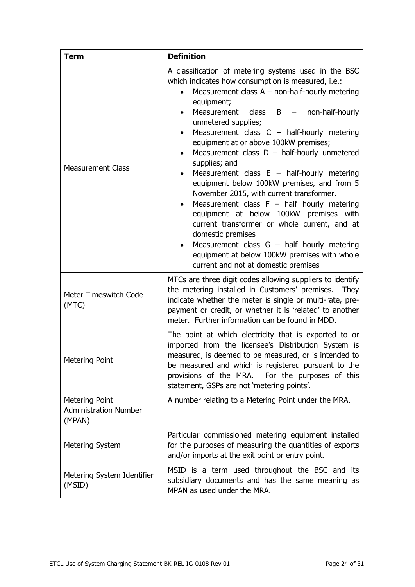| <b>Definition</b><br><b>Term</b>                         |                                                                                                                                                                                                                                                                                                                                                                                                                                                                                                                                                                                                                                                                                                                                                                                                                                                                                                                     |  |  |
|----------------------------------------------------------|---------------------------------------------------------------------------------------------------------------------------------------------------------------------------------------------------------------------------------------------------------------------------------------------------------------------------------------------------------------------------------------------------------------------------------------------------------------------------------------------------------------------------------------------------------------------------------------------------------------------------------------------------------------------------------------------------------------------------------------------------------------------------------------------------------------------------------------------------------------------------------------------------------------------|--|--|
| <b>Measurement Class</b>                                 | A classification of metering systems used in the BSC<br>which indicates how consumption is measured, i.e.:<br>Measurement class $A$ – non-half-hourly metering<br>equipment;<br>Measurement<br>class<br>$\overline{B}$<br>non-half-hourly<br>unmetered supplies;<br>Measurement class $C -$ half-hourly metering<br>equipment at or above 100kW premises;<br>Measurement class $D - \text{half-hourly}$ unmetered<br>$\bullet$<br>supplies; and<br>Measurement class $E - \text{half-hourly metric}$<br>equipment below 100kW premises, and from 5<br>November 2015, with current transformer.<br>Measurement class $F - \text{half}$ hourly metering<br>equipment at below 100kW premises with<br>current transformer or whole current, and at<br>domestic premises<br>Measurement class $G - \text{half}$ hourly metering<br>equipment at below 100kW premises with whole<br>current and not at domestic premises |  |  |
| Meter Timeswitch Code<br>(MTC)                           | MTCs are three digit codes allowing suppliers to identify<br>the metering installed in Customers' premises.<br><b>They</b><br>indicate whether the meter is single or multi-rate, pre-<br>payment or credit, or whether it is 'related' to another<br>meter. Further information can be found in MDD.                                                                                                                                                                                                                                                                                                                                                                                                                                                                                                                                                                                                               |  |  |
| <b>Metering Point</b>                                    | The point at which electricity that is exported to or<br>imported from the licensee's Distribution System is<br>measured, is deemed to be measured, or is intended to<br>be measured and which is registered pursuant to the<br>For the purposes of this<br>provisions of the MRA.<br>statement, GSPs are not 'metering points'.                                                                                                                                                                                                                                                                                                                                                                                                                                                                                                                                                                                    |  |  |
| Metering Point<br><b>Administration Number</b><br>(MPAN) | A number relating to a Metering Point under the MRA.                                                                                                                                                                                                                                                                                                                                                                                                                                                                                                                                                                                                                                                                                                                                                                                                                                                                |  |  |
| <b>Metering System</b>                                   | Particular commissioned metering equipment installed<br>for the purposes of measuring the quantities of exports<br>and/or imports at the exit point or entry point.                                                                                                                                                                                                                                                                                                                                                                                                                                                                                                                                                                                                                                                                                                                                                 |  |  |
| Metering System Identifier<br>(MSID)                     | MSID is a term used throughout the BSC and its<br>subsidiary documents and has the same meaning as<br>MPAN as used under the MRA.                                                                                                                                                                                                                                                                                                                                                                                                                                                                                                                                                                                                                                                                                                                                                                                   |  |  |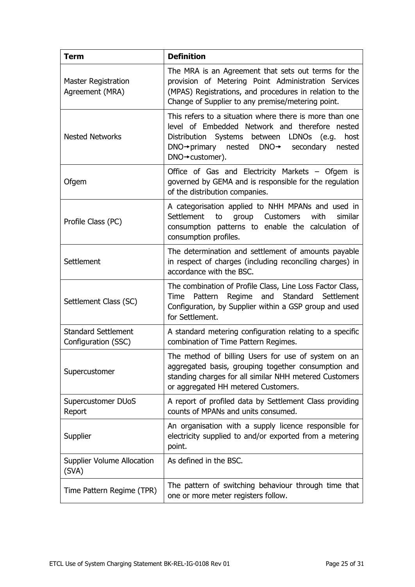| <b>Term</b>                                                                                                                                               | <b>Definition</b>                                                                                                                                                                                                                                                                |  |  |  |  |
|-----------------------------------------------------------------------------------------------------------------------------------------------------------|----------------------------------------------------------------------------------------------------------------------------------------------------------------------------------------------------------------------------------------------------------------------------------|--|--|--|--|
| <b>Master Registration</b><br>Agreement (MRA)                                                                                                             | The MRA is an Agreement that sets out terms for the<br>provision of Metering Point Administration Services<br>(MPAS) Registrations, and procedures in relation to the<br>Change of Supplier to any premise/metering point.                                                       |  |  |  |  |
| <b>Nested Networks</b>                                                                                                                                    | This refers to a situation where there is more than one<br>level of Embedded Network and therefore nested<br>Distribution Systems between LDNOs (e.g.<br>host<br>$DNO \rightarrow$ primary<br>nested<br>$DNO \rightarrow$<br>secondary<br>nested<br>$DNO \rightarrow$ customer). |  |  |  |  |
| Office of Gas and Electricity Markets – Ofgem is<br>governed by GEMA and is responsible for the regulation<br>Ofgem<br>of the distribution companies.     |                                                                                                                                                                                                                                                                                  |  |  |  |  |
| Profile Class (PC)                                                                                                                                        | A categorisation applied to NHH MPANs and used in<br>Settlement<br><b>Customers</b><br>with<br>to<br>group<br>similar<br>consumption patterns to enable the calculation of<br>consumption profiles.                                                                              |  |  |  |  |
| The determination and settlement of amounts payable<br>Settlement<br>in respect of charges (including reconciling charges) in<br>accordance with the BSC. |                                                                                                                                                                                                                                                                                  |  |  |  |  |
| Settlement Class (SC)                                                                                                                                     | The combination of Profile Class, Line Loss Factor Class,<br>Pattern<br>Regime<br>and<br>Standard<br>Settlement<br>Time<br>Configuration, by Supplier within a GSP group and used<br>for Settlement.                                                                             |  |  |  |  |
| <b>Standard Settlement</b><br>Configuration (SSC)                                                                                                         | A standard metering configuration relating to a specific<br>combination of Time Pattern Regimes.                                                                                                                                                                                 |  |  |  |  |
| Supercustomer                                                                                                                                             | The method of billing Users for use of system on an<br>aggregated basis, grouping together consumption and<br>standing charges for all similar NHH metered Customers<br>or aggregated HH metered Customers.                                                                      |  |  |  |  |
| Supercustomer DUoS<br>Report                                                                                                                              | A report of profiled data by Settlement Class providing<br>counts of MPANs and units consumed.                                                                                                                                                                                   |  |  |  |  |
| Supplier                                                                                                                                                  | An organisation with a supply licence responsible for<br>electricity supplied to and/or exported from a metering<br>point.                                                                                                                                                       |  |  |  |  |
| <b>Supplier Volume Allocation</b><br>(SVA)                                                                                                                | As defined in the BSC.                                                                                                                                                                                                                                                           |  |  |  |  |
| Time Pattern Regime (TPR)                                                                                                                                 | The pattern of switching behaviour through time that<br>one or more meter registers follow.                                                                                                                                                                                      |  |  |  |  |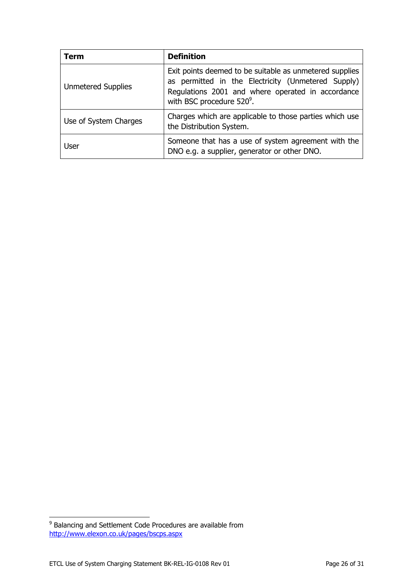| Term                      | <b>Definition</b>                                                                                                                                                                                           |  |  |  |
|---------------------------|-------------------------------------------------------------------------------------------------------------------------------------------------------------------------------------------------------------|--|--|--|
| <b>Unmetered Supplies</b> | Exit points deemed to be suitable as unmetered supplies<br>as permitted in the Electricity (Unmetered Supply)<br>Regulations 2001 and where operated in accordance<br>with BSC procedure 520 <sup>9</sup> . |  |  |  |
| Use of System Charges     | Charges which are applicable to those parties which use<br>the Distribution System.                                                                                                                         |  |  |  |
| <b>User</b>               | Someone that has a use of system agreement with the<br>DNO e.g. a supplier, generator or other DNO.                                                                                                         |  |  |  |

 9 Balancing and Settlement Code Procedures are available from <http://www.elexon.co.uk/pages/bscps.aspx>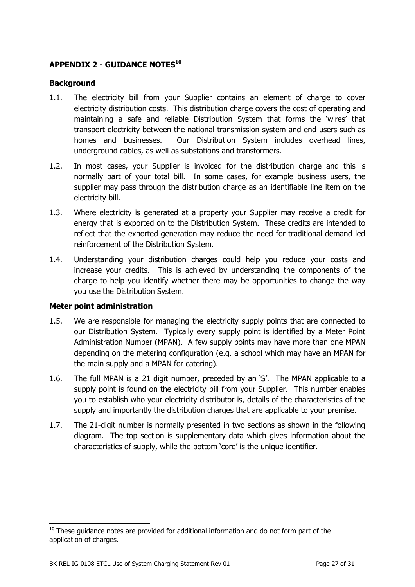# <span id="page-26-0"></span>**APPENDIX 2 - GUIDANCE NOTES<sup>10</sup>**

#### <span id="page-26-1"></span>**Background**

- 1.1. The electricity bill from your Supplier contains an element of charge to cover electricity distribution costs. This distribution charge covers the cost of operating and maintaining a safe and reliable Distribution System that forms the 'wires' that transport electricity between the national transmission system and end users such as homes and businesses. Our Distribution System includes overhead lines, underground cables, as well as substations and transformers.
- 1.2. In most cases, your Supplier is invoiced for the distribution charge and this is normally part of your total bill. In some cases, for example business users, the supplier may pass through the distribution charge as an identifiable line item on the electricity bill.
- 1.3. Where electricity is generated at a property your Supplier may receive a credit for energy that is exported on to the Distribution System. These credits are intended to reflect that the exported generation may reduce the need for traditional demand led reinforcement of the Distribution System.
- 1.4. Understanding your distribution charges could help you reduce your costs and increase your credits. This is achieved by understanding the components of the charge to help you identify whether there may be opportunities to change the way you use the Distribution System.

#### <span id="page-26-2"></span>**Meter point administration**

 $\overline{a}$ 

- 1.5. We are responsible for managing the electricity supply points that are connected to our Distribution System. Typically every supply point is identified by a Meter Point Administration Number (MPAN). A few supply points may have more than one MPAN depending on the metering configuration (e.g. a school which may have an MPAN for the main supply and a MPAN for catering).
- 1.6. The full MPAN is a 21 digit number, preceded by an 'S'. The MPAN applicable to a supply point is found on the electricity bill from your Supplier. This number enables you to establish who your electricity distributor is, details of the characteristics of the supply and importantly the distribution charges that are applicable to your premise.
- 1.7. The 21-digit number is normally presented in two sections as shown in the following diagram. The top section is supplementary data which gives information about the characteristics of supply, while the bottom 'core' is the unique identifier.

 $10$  These guidance notes are provided for additional information and do not form part of the application of charges.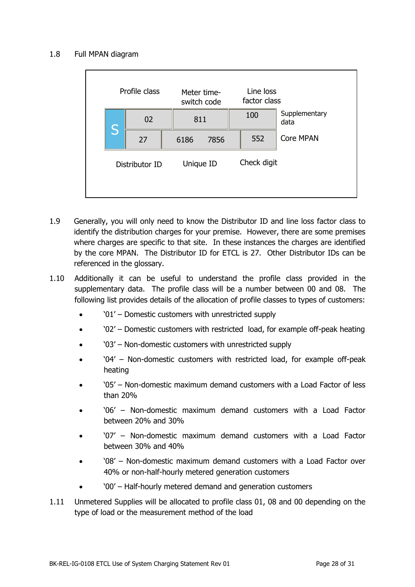## 1.8 Full MPAN diagram

|                | Profile class |      | Meter time-<br>switch code | Line loss<br>factor class |                  |
|----------------|---------------|------|----------------------------|---------------------------|------------------|
| S              | 02<br>811     |      | 100                        | Supplementary<br>data     |                  |
|                | 27            | 6186 | 7856                       | 552                       | <b>Core MPAN</b> |
| Distributor ID |               |      | Unique ID                  | Check digit               |                  |

- 1.9 Generally, you will only need to know the Distributor ID and line loss factor class to identify the distribution charges for your premise. However, there are some premises where charges are specific to that site. In these instances the charges are identified by the core MPAN. The Distributor ID for ETCL is 27. Other Distributor IDs can be referenced in the glossary.
- 1.10 Additionally it can be useful to understand the profile class provided in the supplementary data. The profile class will be a number between 00 and 08. The following list provides details of the allocation of profile classes to types of customers:
	- '01' Domestic customers with unrestricted supply
	- '02' Domestic customers with restricted load, for example off-peak heating
	- '03' Non-domestic customers with unrestricted supply
	- '04' Non-domestic customers with restricted load, for example off-peak heating
	- '05' Non-domestic maximum demand customers with a Load Factor of less than 20%
	- '06' Non-domestic maximum demand customers with a Load Factor between 20% and 30%
	- '07' Non-domestic maximum demand customers with a Load Factor between 30% and 40%
	- '08' Non-domestic maximum demand customers with a Load Factor over 40% or non-half-hourly metered generation customers
	- '00' Half-hourly metered demand and generation customers
- 1.11 Unmetered Supplies will be allocated to profile class 01, 08 and 00 depending on the type of load or the measurement method of the load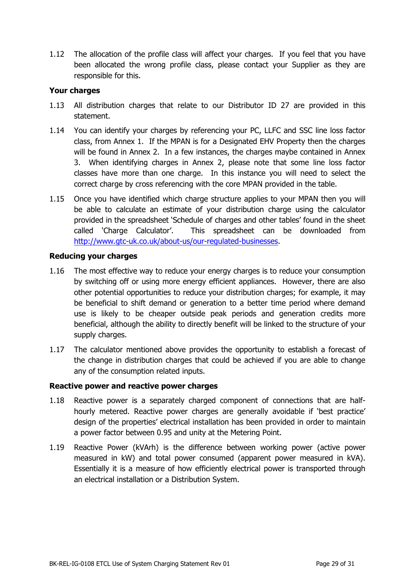1.12 The allocation of the profile class will affect your charges. If you feel that you have been allocated the wrong profile class, please contact your Supplier as they are responsible for this.

# <span id="page-28-0"></span>**Your charges**

- 1.13 All distribution charges that relate to our Distributor ID 27 are provided in this statement.
- 1.14 You can identify your charges by referencing your PC, LLFC and SSC line loss factor class, from Annex 1. If the MPAN is for a Designated EHV Property then the charges will be found in Annex 2. In a few instances, the charges maybe contained in Annex 3. When identifying charges in Annex 2, please note that some line loss factor classes have more than one charge. In this instance you will need to select the correct charge by cross referencing with the core MPAN provided in the table.
- 1.15 Once you have identified which charge structure applies to your MPAN then you will be able to calculate an estimate of your distribution charge using the calculator provided in the spreadsheet 'Schedule of charges and other tables' found in the sheet called 'Charge Calculator'. This spreadsheet can be downloaded from [http://www.gtc-uk.co.uk/about-us/our-regulated-businesses.](http://www.gtc-uk.co.uk/about-us/our-regulated-businesses)

# <span id="page-28-1"></span>**Reducing your charges**

- 1.16 The most effective way to reduce your energy charges is to reduce your consumption by switching off or using more energy efficient appliances. However, there are also other potential opportunities to reduce your distribution charges; for example, it may be beneficial to shift demand or generation to a better time period where demand use is likely to be cheaper outside peak periods and generation credits more beneficial, although the ability to directly benefit will be linked to the structure of your supply charges.
- 1.17 The calculator mentioned above provides the opportunity to establish a forecast of the change in distribution charges that could be achieved if you are able to change any of the consumption related inputs.

# <span id="page-28-2"></span>**Reactive power and reactive power charges**

- 1.18 Reactive power is a separately charged component of connections that are halfhourly metered. Reactive power charges are generally avoidable if 'best practice' design of the properties' electrical installation has been provided in order to maintain a power factor between 0.95 and unity at the Metering Point.
- 1.19 Reactive Power (kVArh) is the difference between working power (active power measured in kW) and total power consumed (apparent power measured in kVA). Essentially it is a measure of how efficiently electrical power is transported through an electrical installation or a Distribution System.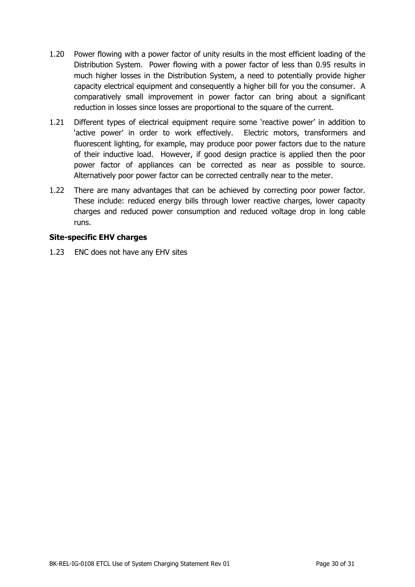- 1.20 Power flowing with a power factor of unity results in the most efficient loading of the Distribution System. Power flowing with a power factor of less than 0.95 results in much higher losses in the Distribution System, a need to potentially provide higher capacity electrical equipment and consequently a higher bill for you the consumer. A comparatively small improvement in power factor can bring about a significant reduction in losses since losses are proportional to the square of the current.
- 1.21 Different types of electrical equipment require some 'reactive power' in addition to 'active power' in order to work effectively. Electric motors, transformers and fluorescent lighting, for example, may produce poor power factors due to the nature of their inductive load. However, if good design practice is applied then the poor power factor of appliances can be corrected as near as possible to source. Alternatively poor power factor can be corrected centrally near to the meter.
- 1.22 There are many advantages that can be achieved by correcting poor power factor. These include: reduced energy bills through lower reactive charges, lower capacity charges and reduced power consumption and reduced voltage drop in long cable runs.

# <span id="page-29-0"></span>**Site-specific EHV charges**

1.23 ENC does not have any EHV sites